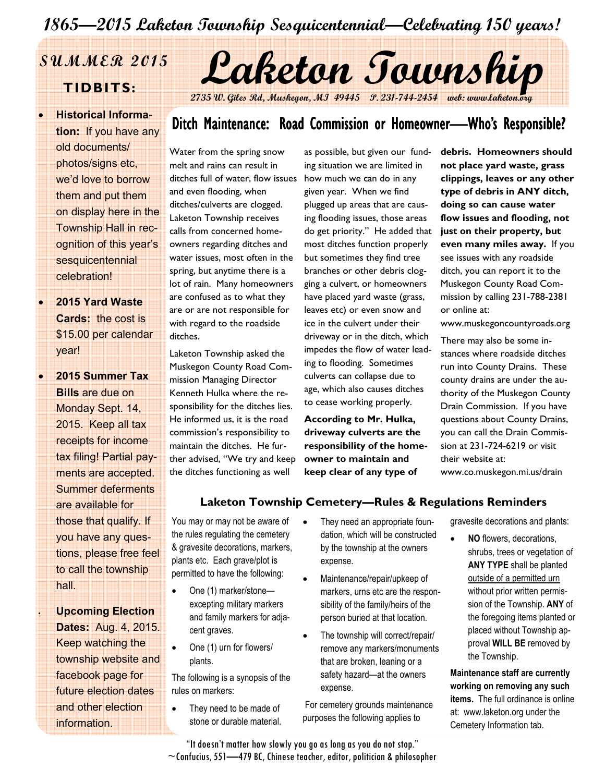# 1865—2015 Laketon Township Sesquicentennial—Celebrating 150 years!

• Historical Information: If you have any old documents/ photos/signs etc, we'd love to borrow them and put them on display here in the Township Hall in recognition of this year's sesquicentennial celebration!

• 2015 Yard Waste Cards: the cost is \$15.00 per calendar year!

• 2015 Summer Tax Bills are due on Monday Sept. 14, 2015. Keep all tax receipts for income tax filing! Partial payments are accepted. Summer deferments are available for those that qualify. If you have any questions, please free feel to call the township hall.

**Upcoming Election** Dates: Aug. 4, 2015. Keep watching the township website and facebook page for future election dates and other election information.

# SUMMER 2015 Laketon Township

2735 W. Giles Rd, Muskegon, MI 49445 P. 231-744-2454 web: www

# Ditch Maintenance: Road Commission or Homeowner—Who's Responsible?

Water from the spring snow melt and rains can result in ditches full of water, flow issues and even flooding, when ditches/culverts are clogged. Laketon Township receives calls from concerned homeowners regarding ditches and water issues, most often in the spring, but anytime there is a lot of rain. Many homeowners are confused as to what they are or are not responsible for with regard to the roadside ditches.

Laketon Township asked the Muskegon County Road Commission Managing Director Kenneth Hulka where the responsibility for the ditches lies. He informed us, it is the road commission's responsibility to maintain the ditches. He further advised, "We try and keep the ditches functioning as well

as possible, but given our funding situation we are limited in how much we can do in any given year. When we find plugged up areas that are causing flooding issues, those areas do get priority." He added that most ditches function properly but sometimes they find tree branches or other debris clogging a culvert, or homeowners have placed yard waste (grass, leaves etc) or even snow and ice in the culvert under their driveway or in the ditch, which impedes the flow of water leading to flooding. Sometimes culverts can collapse due to age, which also causes ditches to cease working properly.

According to Mr. Hulka, driveway culverts are the responsibility of the homeowner to maintain and keep clear of any type of

debris. Homeowners should not place yard waste, grass clippings, leaves or any other type of debris in ANY ditch, doing so can cause water flow issues and flooding, not just on their property, but even many miles away. If you see issues with any roadside ditch, you can report it to the Muskegon County Road Commission by calling 231-788-2381 or online at:

www.muskegoncountyroads.org

There may also be some instances where roadside ditches run into County Drains. These county drains are under the authority of the Muskegon County Drain Commission. If you have questions about County Drains, you can call the Drain Commission at 231-724-6219 or visit their website at: www.co.muskegon.mi.us/drain

#### Laketon Township Cemetery—Rules & Regulations Reminders

You may or may not be aware of the rules regulating the cemetery & gravesite decorations, markers, plants etc. Each grave/plot is permitted to have the following:

- One (1) marker/stoneexcepting military markers and family markers for adjacent graves.
- One (1) urn for flowers/ plants.

The following is a synopsis of the rules on markers:

They need to be made of stone or durable material.

- They need an appropriate foundation, which will be constructed by the township at the owners expense.
- Maintenance/repair/upkeep of markers, urns etc are the responsibility of the family/heirs of the person buried at that location.
- The township will correct/repair/ remove any markers/monuments that are broken, leaning or a safety hazard—at the owners expense.

 For cemetery grounds maintenance purposes the following applies to

gravesite decorations and plants:

NO flowers, decorations, shrubs, trees or vegetation of ANY TYPE shall be planted outside of a permitted urn without prior written permission of the Township. ANY of the foregoing items planted or placed without Township approval WILL BE removed by the Township.

Maintenance staff are currently working on removing any such items. The full ordinance is online at: www.laketon.org under the Cemetery Information tab.

"It doesn't matter how slowly you go as long as you do not stop."  $\sim$ Confucius, 551—479 BC, Chinese teacher, editor, politician & philosopher